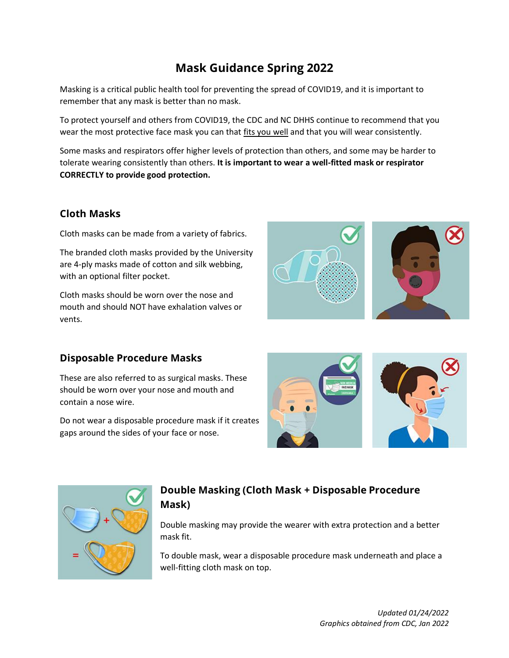# **Mask Guidance Spring 2022**

Masking is a critical public health tool for preventing the spread of COVID19, and it is important to remember that any mask is better than no mask.

To protect yourself and others from COVID19, the CDC and NC DHHS continue to recommend that you wear the most protective face mask you can that fits you well and that you will wear consistently.

Some masks and respirators offer higher levels of protection than others, and some may be harder to tolerate wearing consistently than others. **It is important to wear a well-fitted mask or respirator CORRECTLY to provide good protection.**

## **Cloth Masks**

Cloth masks can be made from a variety of fabrics.

The branded cloth masks provided by the University are 4-ply masks made of cotton and silk webbing, with an optional filter pocket.

Cloth masks should be worn over the nose and mouth and should NOT have exhalation valves or vents.

## **Disposable Procedure Masks**

These are also referred to as surgical masks. These should be worn over your nose and mouth and contain a nose wire.

Do not wear a disposable procedure mask if it creates gaps around the sides of your face or nose.







## **Double Masking (Cloth Mask + Disposable Procedure Mask)**

Double masking may provide the wearer with extra protection and a better mask fit.

To double mask, wear a disposable procedure mask underneath and place a well-fitting cloth mask on top.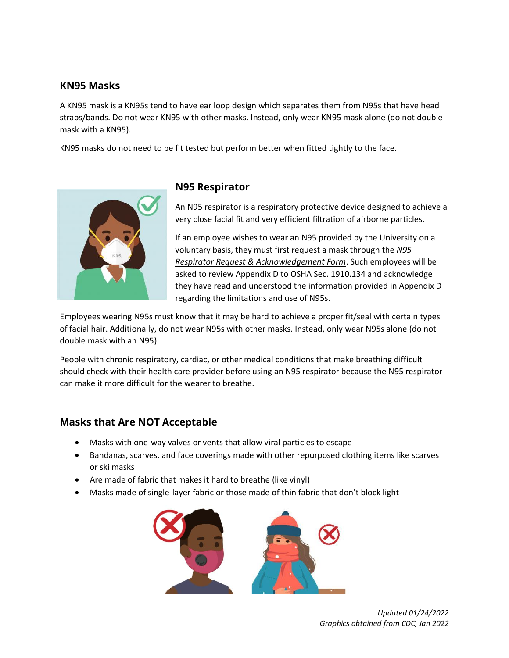### **KN95 Masks**

A KN95 mask is a KN95s tend to have ear loop design which separates them from N95s that have head straps/bands. Do not wear KN95 with other masks. Instead, only wear KN95 mask alone (do not double mask with a KN95).

KN95 masks do not need to be fit tested but perform better when fitted tightly to the face.



#### **N95 Respirator**

An N95 respirator is a respiratory protective device designed to achieve a very close facial fit and very efficient filtration of airborne particles.

If an employee wishes to wear an N95 provided by the University on a voluntary basis, they must first request a mask through the *N95 Respirator Request & Acknowledgement Form*. Such employees will be asked to review Appendix D to OSHA Sec. 1910.134 and acknowledge they have read and understood the information provided in Appendix D regarding the limitations and use of N95s.

Employees wearing N95s must know that it may be hard to achieve a proper fit/seal with certain types of facial hair. Additionally, do not wear N95s with other masks. Instead, only wear N95s alone (do not double mask with an N95).

People with chronic respiratory, cardiac, or other medical conditions that make breathing difficult should check with their health care provider before using an N95 respirator because the N95 respirator can make it more difficult for the wearer to breathe.

### **Masks that Are NOT Acceptable**

- Masks with one-way valves or vents that allow viral particles to escape
- Bandanas, scarves, and face coverings made with other repurposed clothing items like scarves or ski masks
- Are made of fabric that makes it hard to breathe (like vinyl)
- Masks made of single-layer fabric or those made of thin fabric that don't block light



*Updated 01/24/2022 Graphics obtained from CDC, Jan 2022*